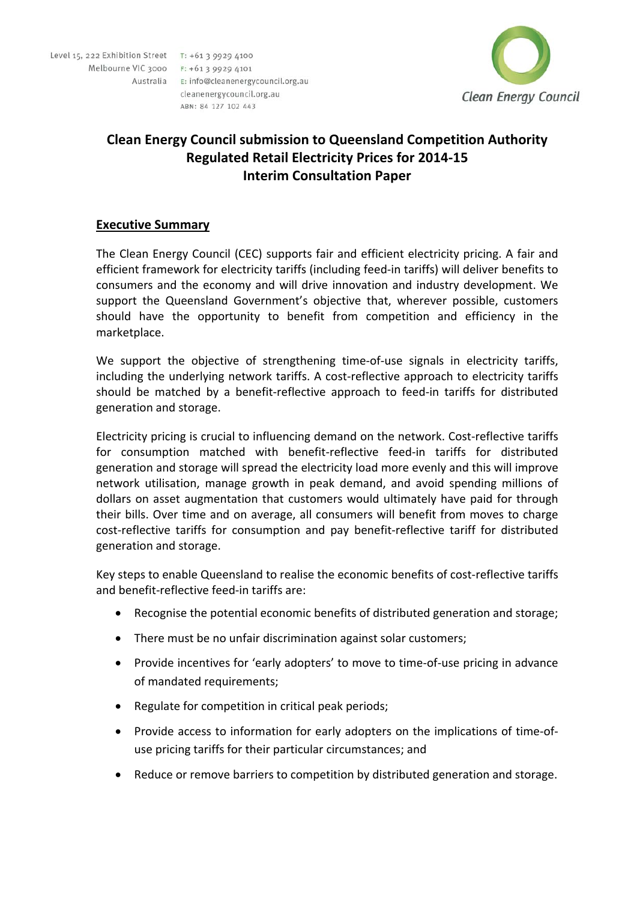Level 15, 222 Exhibition Street T: +61 3 9929 4100 Melbourne VIC 3000 F: +61 3 9929 4101 Australia E: info@cleanenergycouncil.org.au cleanenergycouncil.org.au

ABN: 84 127 102 443



# **Clean Energy Council submission to Queensland Competition Authority Regulated Retail Electricity Prices for 2014‐15 Interim Consultation Paper**

# **Executive Summary**

The Clean Energy Council (CEC) supports fair and efficient electricity pricing. A fair and efficient framework for electricity tariffs (including feed‐in tariffs) will deliver benefits to consumers and the economy and will drive innovation and industry development. We support the Queensland Government's objective that, wherever possible, customers should have the opportunity to benefit from competition and efficiency in the marketplace.

We support the objective of strengthening time-of-use signals in electricity tariffs, including the underlying network tariffs. A cost-reflective approach to electricity tariffs should be matched by a benefit-reflective approach to feed-in tariffs for distributed generation and storage.

Electricity pricing is crucial to influencing demand on the network. Cost-reflective tariffs for consumption matched with benefit-reflective feed-in tariffs for distributed generation and storage will spread the electricity load more evenly and this will improve network utilisation, manage growth in peak demand, and avoid spending millions of dollars on asset augmentation that customers would ultimately have paid for through their bills. Over time and on average, all consumers will benefit from moves to charge cost-reflective tariffs for consumption and pay benefit-reflective tariff for distributed generation and storage.

Key steps to enable Queensland to realise the economic benefits of cost-reflective tariffs and benefit-reflective feed-in tariffs are:

- Recognise the potential economic benefits of distributed generation and storage;
- There must be no unfair discrimination against solar customers;
- Provide incentives for 'early adopters' to move to time‐of‐use pricing in advance of mandated requirements;
- Regulate for competition in critical peak periods;
- Provide access to information for early adopters on the implications of time-ofuse pricing tariffs for their particular circumstances; and
- Reduce or remove barriers to competition by distributed generation and storage.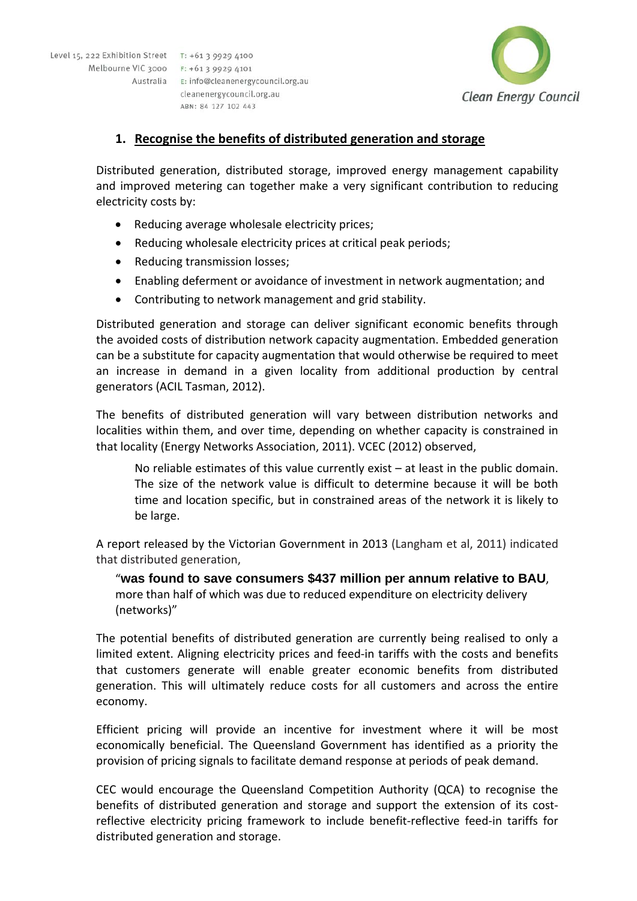Level 15, 222 Exhibition Street T: +61 3 9929 4100 Melbourne VIC 3000 F: +61 3 9929 4101 Australia E: info@cleanenergycouncil.org.au cleanenergycouncil.org.au

ABN: 84 127 102 443



### **1. Recognise the benefits of distributed generation and storage**

Distributed generation, distributed storage, improved energy management capability and improved metering can together make a very significant contribution to reducing electricity costs by:

- Reducing average wholesale electricity prices;
- Reducing wholesale electricity prices at critical peak periods;
- Reducing transmission losses;
- Enabling deferment or avoidance of investment in network augmentation; and
- Contributing to network management and grid stability.

Distributed generation and storage can deliver significant economic benefits through the avoided costs of distribution network capacity augmentation. Embedded generation can be a substitute for capacity augmentation that would otherwise be required to meet an increase in demand in a given locality from additional production by central generators (ACIL Tasman, 2012).

The benefits of distributed generation will vary between distribution networks and localities within them, and over time, depending on whether capacity is constrained in that locality (Energy Networks Association, 2011). VCEC (2012) observed,

No reliable estimates of this value currently exist – at least in the public domain. The size of the network value is difficult to determine because it will be both time and location specific, but in constrained areas of the network it is likely to be large.

A report released by the Victorian Government in 2013 (Langham et al, 2011) indicated that distributed generation,

"**was found to save consumers \$437 million per annum relative to BAU**, more than half of which was due to reduced expenditure on electricity delivery (networks)"

The potential benefits of distributed generation are currently being realised to only a limited extent. Aligning electricity prices and feed-in tariffs with the costs and benefits that customers generate will enable greater economic benefits from distributed generation. This will ultimately reduce costs for all customers and across the entire economy.

Efficient pricing will provide an incentive for investment where it will be most economically beneficial. The Queensland Government has identified as a priority the provision of pricing signals to facilitate demand response at periods of peak demand.

CEC would encourage the Queensland Competition Authority (QCA) to recognise the benefits of distributed generation and storage and support the extension of its costreflective electricity pricing framework to include benefit-reflective feed-in tariffs for distributed generation and storage.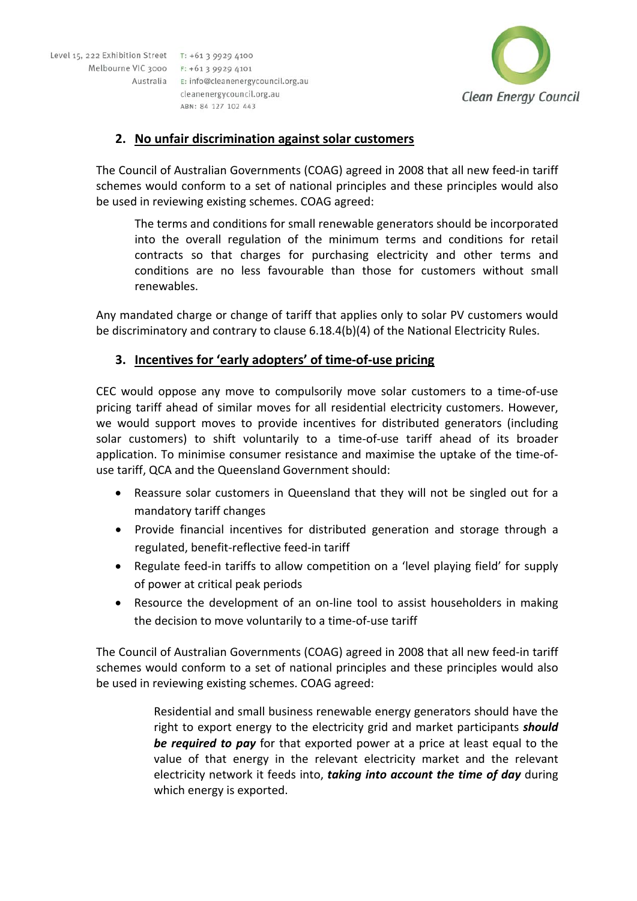Level 15, 222 Exhibition Street T: +61 3 9929 4100 Melbourne VIC 3000 F: +61 3 9929 4101 Australia E: info@cleanenergycouncil.org.au cleanenergycouncil.org.au

ABN: 84 127 102 443



### **2. No unfair discrimination against solar customers**

The Council of Australian Governments (COAG) agreed in 2008 that all new feed‐in tariff schemes would conform to a set of national principles and these principles would also be used in reviewing existing schemes. COAG agreed:

The terms and conditions for small renewable generators should be incorporated into the overall regulation of the minimum terms and conditions for retail contracts so that charges for purchasing electricity and other terms and conditions are no less favourable than those for customers without small renewables.

Any mandated charge or change of tariff that applies only to solar PV customers would be discriminatory and contrary to clause 6.18.4(b)(4) of the National Electricity Rules.

# **3. Incentives for 'early adopters' of time‐of‐use pricing**

CEC would oppose any move to compulsorily move solar customers to a time‐of‐use pricing tariff ahead of similar moves for all residential electricity customers. However, we would support moves to provide incentives for distributed generators (including solar customers) to shift voluntarily to a time-of-use tariff ahead of its broader application. To minimise consumer resistance and maximise the uptake of the time‐of‐ use tariff, QCA and the Queensland Government should:

- Reassure solar customers in Queensland that they will not be singled out for a mandatory tariff changes
- Provide financial incentives for distributed generation and storage through a regulated, benefit‐reflective feed‐in tariff
- Regulate feed-in tariffs to allow competition on a 'level playing field' for supply of power at critical peak periods
- Resource the development of an on-line tool to assist householders in making the decision to move voluntarily to a time‐of‐use tariff

The Council of Australian Governments (COAG) agreed in 2008 that all new feed‐in tariff schemes would conform to a set of national principles and these principles would also be used in reviewing existing schemes. COAG agreed:

> Residential and small business renewable energy generators should have the right to export energy to the electricity grid and market participants *should be required to pay* for that exported power at a price at least equal to the value of that energy in the relevant electricity market and the relevant electricity network it feeds into, *taking into account the time of day* during which energy is exported.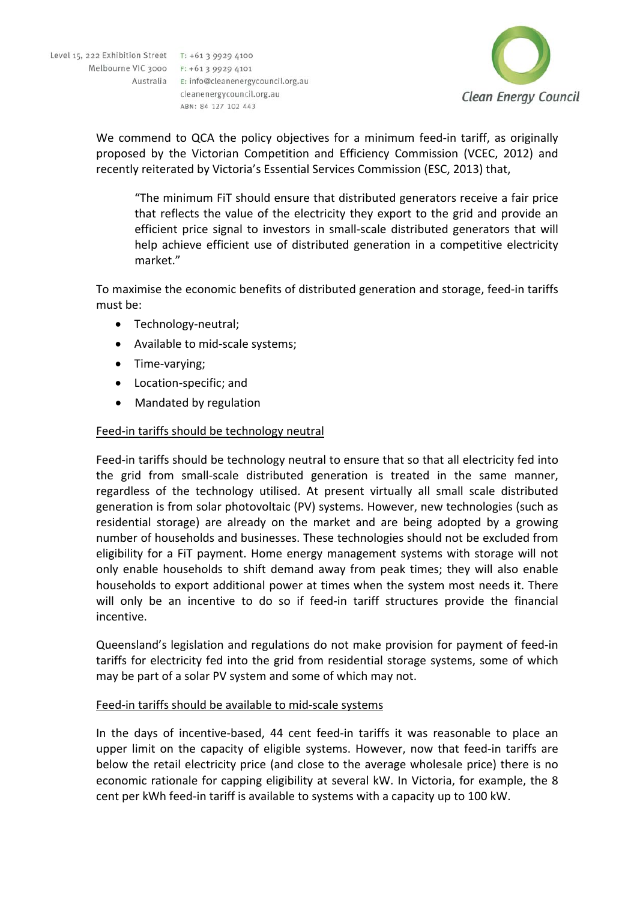Level 15, 222 Exhibition Street T: +61 3 9929 4100 Melbourne VIC 3000 F: +61 3 9929 4101 Australia E: info@cleanenergycouncil.org.au cleanenergycouncil.org.au ABN: 84 127 102 443



We commend to QCA the policy objectives for a minimum feed-in tariff, as originally proposed by the Victorian Competition and Efficiency Commission (VCEC, 2012) and recently reiterated by Victoria's Essential Services Commission (ESC, 2013) that,

"The minimum FiT should ensure that distributed generators receive a fair price that reflects the value of the electricity they export to the grid and provide an efficient price signal to investors in small‐scale distributed generators that will help achieve efficient use of distributed generation in a competitive electricity market."

To maximise the economic benefits of distributed generation and storage, feed‐in tariffs must be:

- Technology-neutral;
- Available to mid-scale systems;
- Time-varying;
- Location-specific; and
- Mandated by regulation

### Feed‐in tariffs should be technology neutral

Feed-in tariffs should be technology neutral to ensure that so that all electricity fed into the grid from small‐scale distributed generation is treated in the same manner, regardless of the technology utilised. At present virtually all small scale distributed generation is from solar photovoltaic (PV) systems. However, new technologies (such as residential storage) are already on the market and are being adopted by a growing number of households and businesses. These technologies should not be excluded from eligibility for a FiT payment. Home energy management systems with storage will not only enable households to shift demand away from peak times; they will also enable households to export additional power at times when the system most needs it. There will only be an incentive to do so if feed-in tariff structures provide the financial incentive.

Queensland's legislation and regulations do not make provision for payment of feed‐in tariffs for electricity fed into the grid from residential storage systems, some of which may be part of a solar PV system and some of which may not.

#### Feed-in tariffs should be available to mid-scale systems

In the days of incentive‐based, 44 cent feed‐in tariffs it was reasonable to place an upper limit on the capacity of eligible systems. However, now that feed-in tariffs are below the retail electricity price (and close to the average wholesale price) there is no economic rationale for capping eligibility at several kW. In Victoria, for example, the 8 cent per kWh feed-in tariff is available to systems with a capacity up to 100 kW.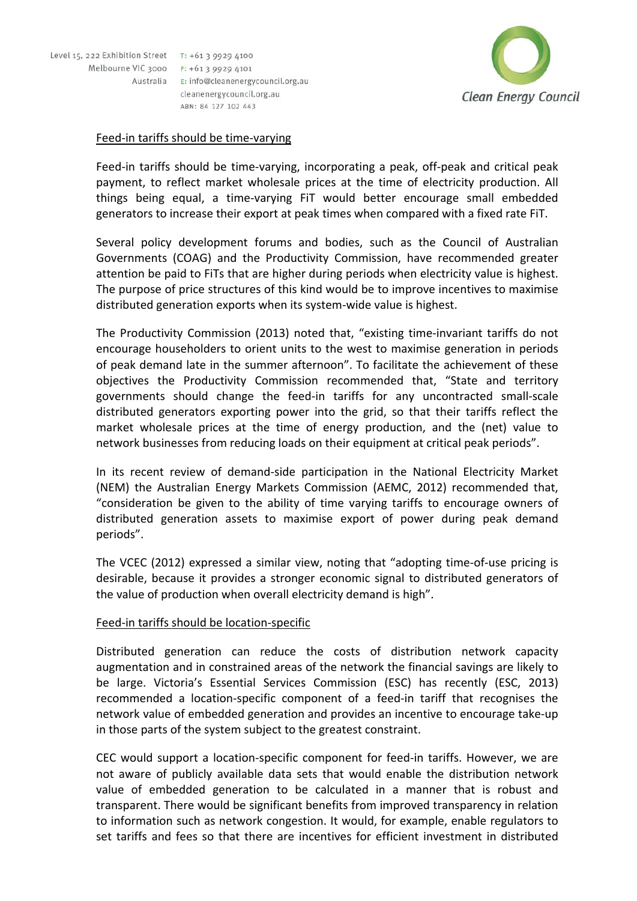



#### Feed‐in tariffs should be time‐varying

Feed-in tariffs should be time-varying, incorporating a peak, off-peak and critical peak payment, to reflect market wholesale prices at the time of electricity production. All things being equal, a time‐varying FiT would better encourage small embedded generators to increase their export at peak times when compared with a fixed rate FiT.

Several policy development forums and bodies, such as the Council of Australian Governments (COAG) and the Productivity Commission, have recommended greater attention be paid to FiTs that are higher during periods when electricity value is highest. The purpose of price structures of this kind would be to improve incentives to maximise distributed generation exports when its system‐wide value is highest.

The Productivity Commission (2013) noted that, "existing time‐invariant tariffs do not encourage householders to orient units to the west to maximise generation in periods of peak demand late in the summer afternoon". To facilitate the achievement of these objectives the Productivity Commission recommended that, "State and territory governments should change the feed‐in tariffs for any uncontracted small‐scale distributed generators exporting power into the grid, so that their tariffs reflect the market wholesale prices at the time of energy production, and the (net) value to network businesses from reducing loads on their equipment at critical peak periods".

In its recent review of demand‐side participation in the National Electricity Market (NEM) the Australian Energy Markets Commission (AEMC, 2012) recommended that, "consideration be given to the ability of time varying tariffs to encourage owners of distributed generation assets to maximise export of power during peak demand periods".

The VCEC (2012) expressed a similar view, noting that "adopting time‐of‐use pricing is desirable, because it provides a stronger economic signal to distributed generators of the value of production when overall electricity demand is high".

#### Feed‐in tariffs should be location‐specific

Distributed generation can reduce the costs of distribution network capacity augmentation and in constrained areas of the network the financial savings are likely to be large. Victoria's Essential Services Commission (ESC) has recently (ESC, 2013) recommended a location‐specific component of a feed‐in tariff that recognises the network value of embedded generation and provides an incentive to encourage take‐up in those parts of the system subject to the greatest constraint.

CEC would support a location‐specific component for feed‐in tariffs. However, we are not aware of publicly available data sets that would enable the distribution network value of embedded generation to be calculated in a manner that is robust and transparent. There would be significant benefits from improved transparency in relation to information such as network congestion. It would, for example, enable regulators to set tariffs and fees so that there are incentives for efficient investment in distributed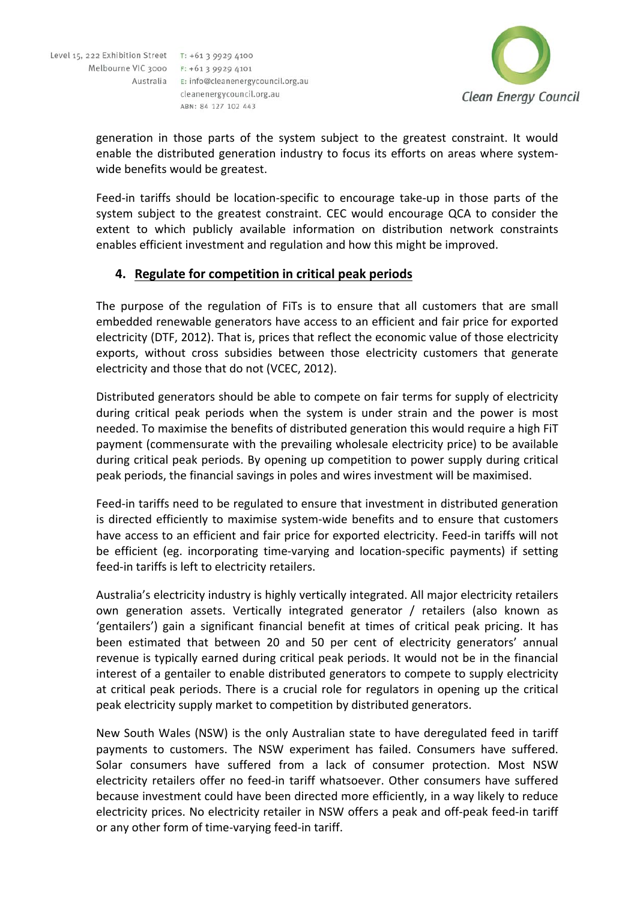ABN: 84 127 102 443



generation in those parts of the system subject to the greatest constraint. It would enable the distributed generation industry to focus its efforts on areas where system‐ wide benefits would be greatest.

Feed-in tariffs should be location-specific to encourage take-up in those parts of the system subject to the greatest constraint. CEC would encourage QCA to consider the extent to which publicly available information on distribution network constraints enables efficient investment and regulation and how this might be improved.

### **4. Regulate for competition in critical peak periods**

The purpose of the regulation of FiTs is to ensure that all customers that are small embedded renewable generators have access to an efficient and fair price for exported electricity (DTF, 2012). That is, prices that reflect the economic value of those electricity exports, without cross subsidies between those electricity customers that generate electricity and those that do not (VCEC, 2012).

Distributed generators should be able to compete on fair terms for supply of electricity during critical peak periods when the system is under strain and the power is most needed. To maximise the benefits of distributed generation this would require a high FiT payment (commensurate with the prevailing wholesale electricity price) to be available during critical peak periods. By opening up competition to power supply during critical peak periods, the financial savings in poles and wires investment will be maximised.

Feed-in tariffs need to be regulated to ensure that investment in distributed generation is directed efficiently to maximise system-wide benefits and to ensure that customers have access to an efficient and fair price for exported electricity. Feed-in tariffs will not be efficient (eg. incorporating time-varying and location-specific payments) if setting feed-in tariffs is left to electricity retailers.

Australia's electricity industry is highly vertically integrated. All major electricity retailers own generation assets. Vertically integrated generator / retailers (also known as 'gentailers') gain a significant financial benefit at times of critical peak pricing. It has been estimated that between 20 and 50 per cent of electricity generators' annual revenue is typically earned during critical peak periods. It would not be in the financial interest of a gentailer to enable distributed generators to compete to supply electricity at critical peak periods. There is a crucial role for regulators in opening up the critical peak electricity supply market to competition by distributed generators.

New South Wales (NSW) is the only Australian state to have deregulated feed in tariff payments to customers. The NSW experiment has failed. Consumers have suffered. Solar consumers have suffered from a lack of consumer protection. Most NSW electricity retailers offer no feed‐in tariff whatsoever. Other consumers have suffered because investment could have been directed more efficiently, in a way likely to reduce electricity prices. No electricity retailer in NSW offers a peak and off-peak feed-in tariff or any other form of time‐varying feed‐in tariff.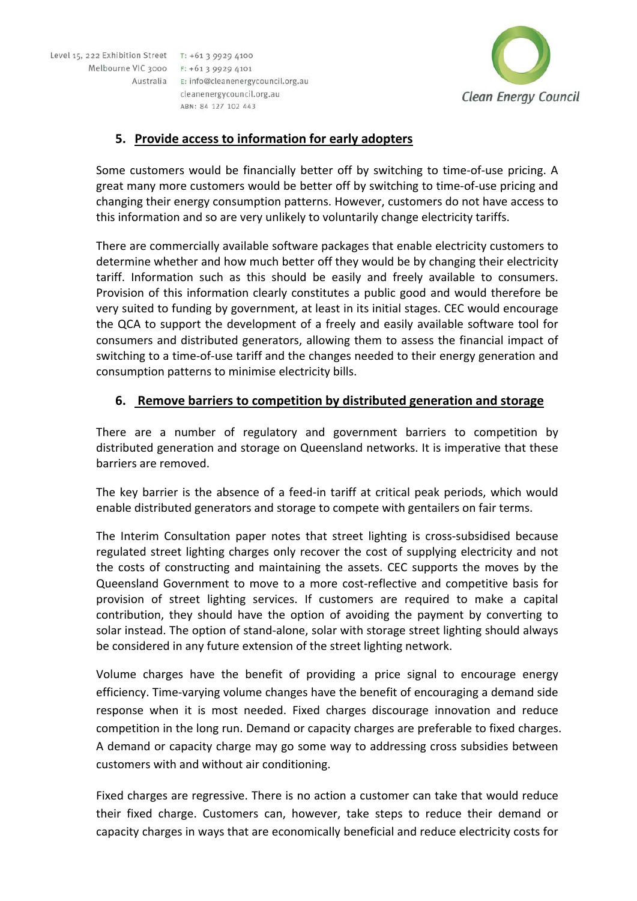



# **5. Provide access to information for early adopters**

Some customers would be financially better off by switching to time‐of‐use pricing. A great many more customers would be better off by switching to time‐of‐use pricing and changing their energy consumption patterns. However, customers do not have access to this information and so are very unlikely to voluntarily change electricity tariffs.

There are commercially available software packages that enable electricity customers to determine whether and how much better off they would be by changing their electricity tariff. Information such as this should be easily and freely available to consumers. Provision of this information clearly constitutes a public good and would therefore be very suited to funding by government, at least in its initial stages. CEC would encourage the QCA to support the development of a freely and easily available software tool for consumers and distributed generators, allowing them to assess the financial impact of switching to a time-of-use tariff and the changes needed to their energy generation and consumption patterns to minimise electricity bills.

# **6. Remove barriers to competition by distributed generation and storage**

There are a number of regulatory and government barriers to competition by distributed generation and storage on Queensland networks. It is imperative that these barriers are removed.

The key barrier is the absence of a feed‐in tariff at critical peak periods, which would enable distributed generators and storage to compete with gentailers on fair terms.

The Interim Consultation paper notes that street lighting is cross-subsidised because regulated street lighting charges only recover the cost of supplying electricity and not the costs of constructing and maintaining the assets. CEC supports the moves by the Queensland Government to move to a more cost-reflective and competitive basis for provision of street lighting services. If customers are required to make a capital contribution, they should have the option of avoiding the payment by converting to solar instead. The option of stand-alone, solar with storage street lighting should always be considered in any future extension of the street lighting network.

Volume charges have the benefit of providing a price signal to encourage energy efficiency. Time‐varying volume changes have the benefit of encouraging a demand side response when it is most needed. Fixed charges discourage innovation and reduce competition in the long run. Demand or capacity charges are preferable to fixed charges. A demand or capacity charge may go some way to addressing cross subsidies between customers with and without air conditioning.

Fixed charges are regressive. There is no action a customer can take that would reduce their fixed charge. Customers can, however, take steps to reduce their demand or capacity charges in ways that are economically beneficial and reduce electricity costs for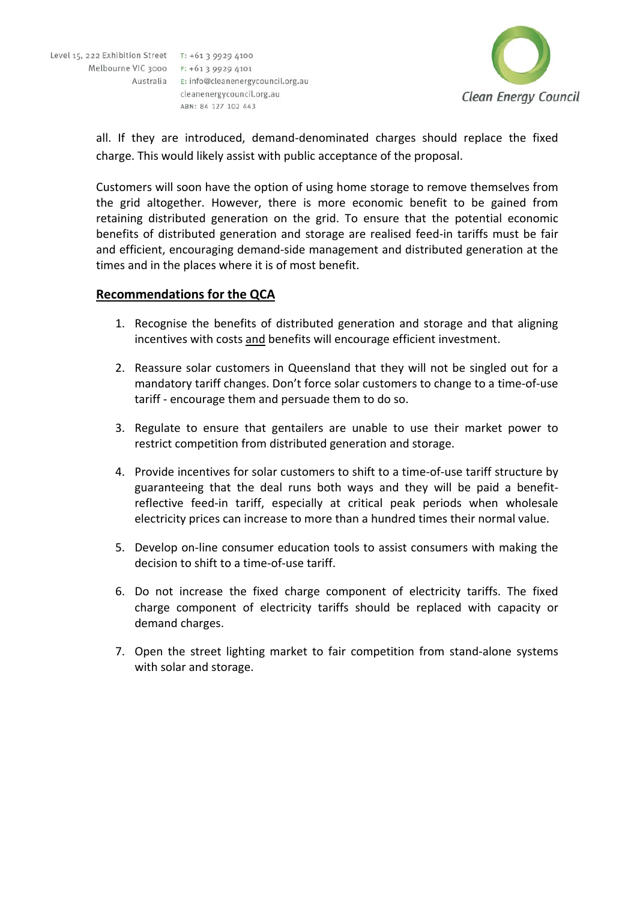

all. If they are introduced, demand‐denominated charges should replace the fixed charge. This would likely assist with public acceptance of the proposal.

Customers will soon have the option of using home storage to remove themselves from the grid altogether. However, there is more economic benefit to be gained from retaining distributed generation on the grid. To ensure that the potential economic benefits of distributed generation and storage are realised feed-in tariffs must be fair and efficient, encouraging demand‐side management and distributed generation at the times and in the places where it is of most benefit.

# **Recommendations for the QCA**

- 1. Recognise the benefits of distributed generation and storage and that aligning incentives with costs and benefits will encourage efficient investment.
- 2. Reassure solar customers in Queensland that they will not be singled out for a mandatory tariff changes. Don't force solar customers to change to a time‐of‐use tariff ‐ encourage them and persuade them to do so.
- 3. Regulate to ensure that gentailers are unable to use their market power to restrict competition from distributed generation and storage.
- 4. Provide incentives for solar customers to shift to a time-of-use tariff structure by guaranteeing that the deal runs both ways and they will be paid a benefit‐ reflective feed-in tariff, especially at critical peak periods when wholesale electricity prices can increase to more than a hundred times their normal value.
- 5. Develop on-line consumer education tools to assist consumers with making the decision to shift to a time‐of‐use tariff.
- 6. Do not increase the fixed charge component of electricity tariffs. The fixed charge component of electricity tariffs should be replaced with capacity or demand charges.
- 7. Open the street lighting market to fair competition from stand‐alone systems with solar and storage.